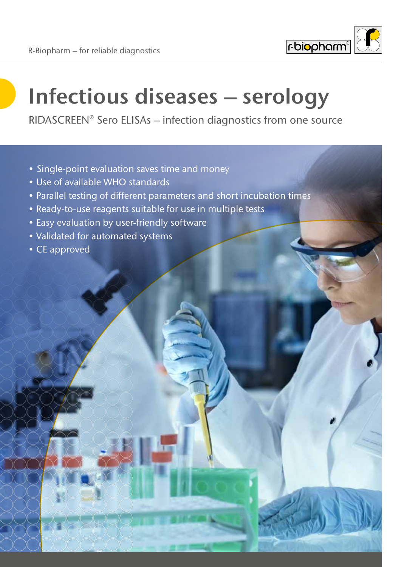

# **Infectious diseases – serology**

RIDASCREEN® Sero ELISAs – infection diagnostics from one source

- Single-point evaluation saves time and money
- Use of available WHO standards
- Parallel testing of different parameters and short incubation times
- Ready-to-use reagents suitable for use in multiple tests
- Easy evaluation by user-friendly software
- Validated for automated systems
- CE approved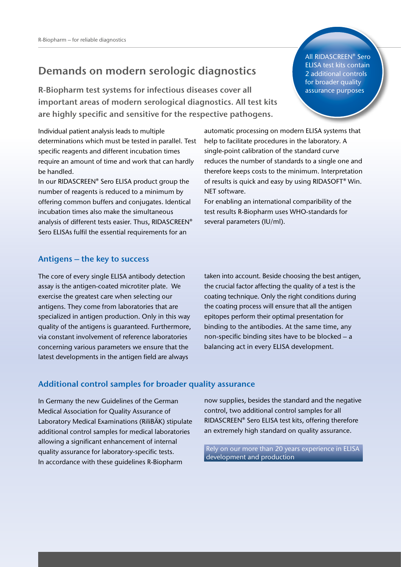#### **Demands on modern serologic diagnostics**

**R-Biopharm test systems for infectious diseases cover all important areas of modern serological diagnostics. All test kits are highly specific and sensitive for the respective pathogens.**

Individual patient analysis leads to multiple determinations which must be tested in parallel. Test specific reagents and different incubation times require an amount of time and work that can hardly be handled.

In our RIDASCREEN® Sero ELISA product group the number of reagents is reduced to a minimum by offering common buffers and conjugates. Identical incubation times also make the simultaneous analysis of different tests easier. Thus, RIDASCREEN® Sero ELISAs fulfil the essential requirements for an

automatic processing on modern ELISA systems that help to facilitate procedures in the laboratory. A single-point calibration of the standard curve reduces the number of standards to a single one and therefore keeps costs to the minimum. Interpretation of results is quick and easy by using RIDASOFT® Win. NET software.

For enabling an international comparibility of the test results R-Biopharm uses WHO-standards for several parameters (IU/ml).

#### **Antigens – the key to success**

The core of every single ELISA antibody detection assay is the antigen-coated microtiter plate. We exercise the greatest care when selecting our antigens. They come from laboratories that are specialized in antigen production. Only in this way quality of the antigens is guaranteed. Furthermore, via constant involvement of reference laboratories concerning various parameters we ensure that the latest developments in the antigen field are always

taken into account. Beside choosing the best antigen, the crucial factor affecting the quality of a test is the coating technique. Only the right conditions during the coating process will ensure that all the antigen epitopes perform their optimal presentation for binding to the antibodies. At the same time, any non-specific binding sites have to be blocked – a balancing act in every ELISA development.

#### **Additional control samples for broader quality assurance**

In Germany the new Guidelines of the German Medical Association for Quality Assurance of Laboratory Medical Examinations (RiliBÄK) stipulate additional control samples for medical laboratories allowing a significant enhancement of internal quality assurance for laboratory-specific tests. In accordance with these guidelines R-Biopharm

now supplies, besides the standard and the negative control, two additional control samples for all RIDASCREEN® Sero ELISA test kits, offering therefore an extremely high standard on quality assurance.

Rely on our more than 20 years experience in ELISA development and production

All RIDASCREEN® Sero ELISA test kits contain 2 additional controls for broader quality assurance purposes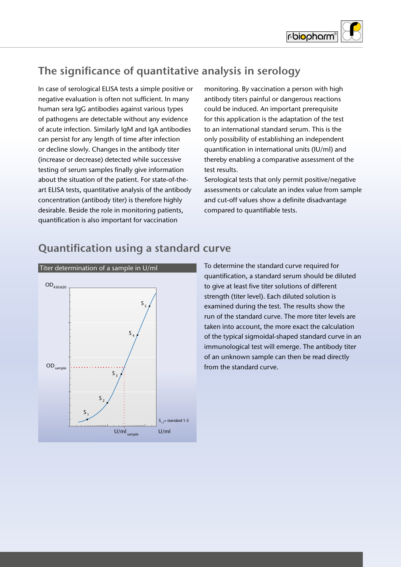

# **The significance of quantitative analysis in serology**

In case of serological ELISA tests a simple positive or negative evaluation is often not sufficient. In many human sera IgG antibodies against various types of pathogens are detectable without any evidence of acute infection. Similarly IgM and IgA antibodies can persist for any length of time after infection or decline slowly. Changes in the antibody titer (increase or decrease) detected while successive testing of serum samples finally give information about the situation of the patient. For state-of-theart ELISA tests, quantitative analysis of the antibody concentration (antibody titer) is therefore highly desirable. Beside the role in monitoring patients, quantification is also important for vaccination

monitoring. By vaccination a person with high antibody titers painful or dangerous reactions could be induced. An important prerequisite for this application is the adaptation of the test to an international standard serum. This is the only possibility of establishing an independent quantification in international units (IU/ml) and thereby enabling a comparative assessment of the test results.

Serological tests that only permit positive/negative assessments or calculate an index value from sample and cut-off values show a definite disadvantage compared to quantifiable tests.



## **Quantification using a standard curve**

To determine the standard curve required for quantification, a standard serum should be diluted to give at least five titer solutions of different strength (titer level). Each diluted solution is examined during the test. The results show the run of the standard curve. The more titer levels are taken into account, the more exact the calculation of the typical sigmoidal-shaped standard curve in an immunological test will emerge. The antibody titer of an unknown sample can then be read directly from the standard curve.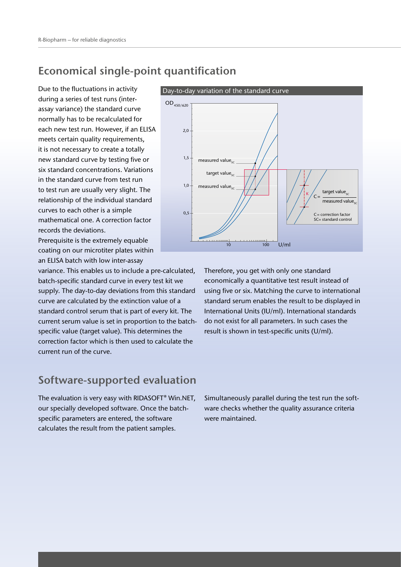#### **Economical single-point quantification**

Due to the fluctuations in activity during a series of test runs (interassay variance) the standard curve normally has to be recalculated for each new test run. However, if an ELISA meets certain quality requirements, it is not necessary to create a totally new standard curve by testing five or six standard concentrations. Variations in the standard curve from test run to test run are usually very slight. The relationship of the individual standard curves to each other is a simple mathematical one. A correction factor records the deviations.

Prerequisite is the extremely equable coating on our microtiter plates within an ELISA batch with low inter-assay

variance. This enables us to include a pre-calculated, batch-specific standard curve in every test kit we supply. The day-to-day deviations from this standard curve are calculated by the extinction value of a standard control serum that is part of every kit. The current serum value is set in proportion to the batchspecific value (target value). This determines the correction factor which is then used to calculate the current run of the curve.

#### **Software-supported evaluation**

The evaluation is very easy with RIDASOFT® Win.NET, our specially developed software. Once the batchspecific parameters are entered, the software calculates the result from the patient samples.



Therefore, you get with only one standard economically a quantitative test result instead of using five or six. Matching the curve to international standard serum enables the result to be displayed in International Units (IU/ml). International standards do not exist for all parameters. In such cases the result is shown in test-specific units (U/ml).

Simultaneously parallel during the test run the software checks whether the quality assurance criteria were maintained.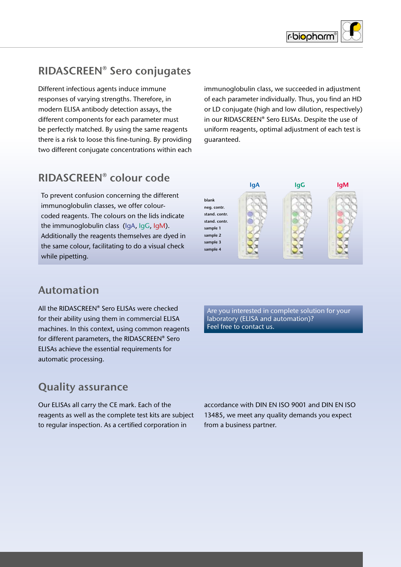

## **RIDASCREEN® Sero conjugates**

Different infectious agents induce immune responses of varying strengths. Therefore, in modern ELISA antibody detection assays, the different components for each parameter must be perfectly matched. By using the same reagents there is a risk to loose this fine-tuning. By providing two different conjugate concentrations within each

immunoglobulin class, we succeeded in adjustment of each parameter individually. Thus, you find an HD or LD conjugate (high and low dilution, respectively) in our RIDASCREEN® Sero ELISAs. Despite the use of uniform reagents, optimal adjustment of each test is guaranteed.

## **RIDASCREEN® colour code**

To prevent confusion concerning the different immunoglobulin classes, we offer colourcoded reagents. The colours on the lids indicate the immunoglobulin class (IgA, IgG, IgM). Additionally the reagents themselves are dyed in the same colour, facilitating to do a visual check while pipetting.



## **Automation**

All the RIDASCREEN® Sero ELISAs were checked for their ability using them in commercial ELISA machines. In this context, using common reagents for different parameters, the RIDASCREEN® Sero ELISAs achieve the essential requirements for automatic processing.

Are you interested in complete solution for your laboratory (ELISA and automation)? Feel free to contact us.

## **Quality assurance**

Our ELISAs all carry the CE mark. Each of the reagents as well as the complete test kits are subject to regular inspection. As a certified corporation in

accordance with DIN EN ISO 9001 and DIN EN ISO 13485, we meet any quality demands you expect from a business partner.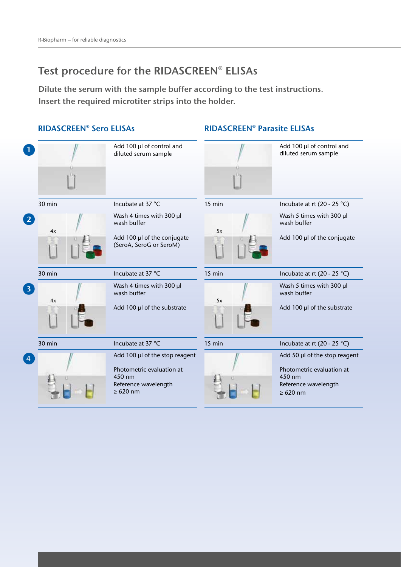## **Test procedure for the RIDASCREEN® ELISAs**

**Dilute the serum with the sample buffer according to the test instructions. Insert the required microtiter strips into the holder.**

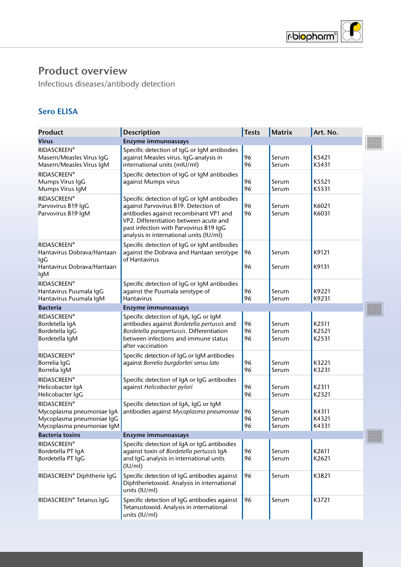

Infectious diseases/antibody detection

#### **Sero ELISA**

| <b>Product</b>                                                                                            | <b>Description</b>                                                                                                                                                                                                                                           | <b>Tests</b>    | <b>Matrix</b>           | Art. No.                |                 |
|-----------------------------------------------------------------------------------------------------------|--------------------------------------------------------------------------------------------------------------------------------------------------------------------------------------------------------------------------------------------------------------|-----------------|-------------------------|-------------------------|-----------------|
| <b>Virus</b>                                                                                              | <b>Enzyme immunoassays</b>                                                                                                                                                                                                                                   |                 |                         |                         |                 |
| <b>RIDASCREEN®</b><br>Masern/Measles Virus IgG<br>Masern/Measles Virus IgM                                | Specific detection of IgG or IgM antibodies<br>against Measles virus. IgG-analysis in<br>international units (mIU/ml)                                                                                                                                        | 96<br>96        | Serum<br>Serum          | K5421<br>K5431          |                 |
| <b>RIDASCREEN®</b><br>Mumps Virus IgG<br>Mumps Virus IgM                                                  | Specific detection of IgG or IgM antibodies<br>against Mumps virus                                                                                                                                                                                           | 96<br>96        | Serum<br>Serum          | K5521<br>K5531          |                 |
| <b>RIDASCREEN®</b><br>Parvovirus B19 IgG<br>Parvovirus B19 IgM                                            | Specific detection of IgG or IgM antibodies<br>against Parvovirus B19. Detection of<br>antibodies against recombinant VP1 and<br>VP2. Differentiation between acute and<br>past infection with Parvovirus B19 IgG<br>analysis in international units (IU/ml) | 96<br>96        | Serum<br>Serum          | K6021<br>K6031          |                 |
| <b>RIDASCREEN®</b><br>Hantavirus Dobrava/Hantaan<br>lgG<br>Hantavirus Dobrava/Hantaan                     | Specific detection of IgG or IgM antibodies<br>against the Dobrava and Hantaan serotype<br>of Hantavirus                                                                                                                                                     | 96<br>96        | Serum<br>Serum          | K9121<br>K9131          |                 |
| lgM<br><b>RIDASCREEN®</b><br>Hantavirus Puumala IgG<br>Hantavirus Puumala IgM                             | Specific detection of IgG or IgM antibodies<br>against the Puumala serotype of<br><b>Hantavirus</b>                                                                                                                                                          | 96<br>96        | Serum<br>Serum          | K9221<br>K9231          |                 |
| <b>Bacteria</b>                                                                                           | Enzyme immunoassays                                                                                                                                                                                                                                          |                 |                         |                         |                 |
| <b>RIDASCREEN®</b><br>Bordetella IgA<br>Bordetella IgG<br>Bordetella IgM                                  | Specific detection of IgA, IgG or IgM<br>antibodies against Bordetella pertussis and<br>Bordetella parapertussis. Differentiation<br>between infections and immune status<br>after vaccination                                                               | 96<br>96<br>96  | Serum<br>Serum<br>Serum | K2511<br>K2521<br>K2531 |                 |
| <b>RIDASCREEN®</b><br>Borrelia IgG<br>Borrelia IgM                                                        | Specific detection of IgG or IgM antibodies<br>against Borrelia burgdorferi sensu lato                                                                                                                                                                       | 96<br>96        | Serum<br>Serum          | K3221<br>K3231          |                 |
| <b>RIDASCREEN®</b><br>Helicobacter IgA<br>Helicobacter IgG                                                | Specific detection of IgA or IgG antibodies<br>against Helicobacter pylori                                                                                                                                                                                   | 96<br>96        | Serum<br>Serum          | K2311<br>K2321          |                 |
| <b>RIDASCREEN®</b><br>Mycoplasma pneumoniae IgA<br>Mycoplasma pneumoniae IgG<br>Mycoplasma pneumoniae IgM | Specific detection of IgA, IgG or IgM<br>antibodies against Mycoplasma pneumoniae                                                                                                                                                                            | 96<br>96<br> 96 | Serum<br>Serum<br>Serum | K4311<br>K4321<br>K4331 |                 |
| <b>Bacteria toxins</b>                                                                                    | Enzyme immunoassays                                                                                                                                                                                                                                          |                 |                         |                         | <b>SHARBORS</b> |
| <b>RIDASCREEN®</b><br>Bordetella PT IgA<br>Bordetella PT IgG                                              | Specific detection of IgA or IgG antibodies<br>against toxin of Bordetella pertussis IqA<br>and IgG analysis in international units<br>(IU/ml)                                                                                                               | 96<br>96        | Serum<br>Serum          | K2611<br>K2621          |                 |
| RIDASCREEN® Diphtherie IgG                                                                                | Specific detection of IgG antibodies against<br>Diphtherietoxoid. Analysis in international<br>units (IU/ml)                                                                                                                                                 | 96              | Serum                   | K3821                   |                 |
| RIDASCREEN® Tetanus IgG                                                                                   | Specific detection of IgG antibodies against<br>Tetanustoxoid. Analysis in international<br>units (IU/ml)                                                                                                                                                    | 96              | Serum                   | K3721                   |                 |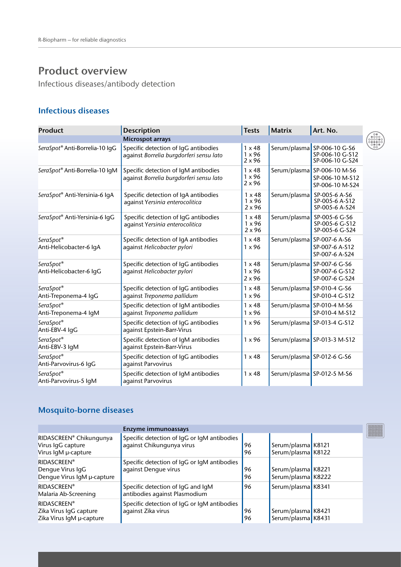Infectious diseases/antibody detection

#### **Infectious diseases**

| <b>Product</b>                       | Description                                                                     | <b>Tests</b>                                    | <b>Matrix</b> | Art. No.                                                          |
|--------------------------------------|---------------------------------------------------------------------------------|-------------------------------------------------|---------------|-------------------------------------------------------------------|
|                                      | <b>Microspot arrays</b>                                                         |                                                 |               |                                                                   |
| SeraSpot® Anti-Borrelia-10 IgG       | Specific detection of IgG antibodies<br>against Borrelia burgdorferi sensu lato | $1 \times 48$<br>$1 \times 96$<br>$2 \times 96$ |               | Serum/plasma SP-006-10 G-S6<br>SP-006-10 G-S12<br>SP-006-10 G-S24 |
| SeraSpot® Anti-Borrelia-10 IgM       | Specific detection of IqM antibodies<br>against Borrelia burgdorferi sensu lato | $1 \times 48$<br>$1 \times 96$<br>$2 \times 96$ |               | Serum/plasma SP-006-10 M-S6<br>SP-006-10 M-S12<br>SP-006-10 M-S24 |
| SeraSpot® Anti-Yersinia-6 IgA        | Specific detection of IgA antibodies<br>against Yersinia enterocolitica         | $1 \times 48$<br>$1 \times 96$<br>$2 \times 96$ |               | Serum/plasma SP-005-6 A-S6<br>SP-005-6 A-S12<br>SP-005-6 A-S24    |
| SeraSpot® Anti-Yersinia-6 IqG        | Specific detection of IgG antibodies<br>against Yersinia enterocolitica         | $1 \times 48$<br>$1 \times 96$<br>$2 \times 96$ |               | Serum/plasma SP-005-6 G-S6<br>SP-005-6 G-S12<br>SP-005-6 G-S24    |
| SeraSpot®<br>Anti-Helicobacter-6 IgA | Specific detection of IgA antibodies<br>against Helicobacter pylori             | $1 \times 48$<br>$1 \times 96$                  |               | Serum/plasma SP-007-6 A-S6<br>SP-007-6 A-S12<br>SP-007-6 A-S24    |
| SeraSpot®<br>Anti-Helicobacter-6 IgG | Specific detection of IgG antibodies<br>against Helicobacter pylori             | $1 \times 48$<br>$1 \times 96$<br>$2 \times 96$ |               | Serum/plasma SP-007-6 G-S6<br>SP-007-6 G-S12<br>SP-007-6 G-S24    |
| SeraSpot®<br>Anti-Treponema-4 IgG    | Specific detection of IgG antibodies<br>against Treponema pallidum              | $1 \times 48$<br>$1 \times 96$                  |               | Serum/plasma SP-010-4 G-S6<br>SP-010-4 G-S12                      |
| SeraSpot®<br>Anti-Treponema-4 IgM    | Specific detection of IgM antibodies<br>against Treponema pallidum              | $1 \times 48$<br>$1 \times 96$                  |               | Serum/plasma SP-010-4 M-S6<br>SP-010-4 M-S12                      |
| SeraSpot®<br>Anti-EBV-4 IgG          | Specific detection of IgG antibodies<br>against Epstein-Barr-Virus              | $1 \times 96$                                   |               | Serum/plasma SP-013-4 G-S12                                       |
| SeraSpot®<br>Anti-EBV-3 IgM          | Specific detection of IqM antibodies<br>against Epstein-Barr-Virus              | $1 \times 96$                                   |               | Serum/plasma SP-013-3 M-S12                                       |
| SeraSpot®<br>Anti-Parvovirus-6 IgG   | Specific detection of IgG antibodies<br>against Parvovirus                      | $1 \times 48$                                   |               | Serum/plasma SP-012-6 G-S6                                        |
| SeraSpot®<br>Anti-Parvovirus-5 IgM   | Specific detection of IgM antibodies<br>against Parvovirus                      | $1 \times 48$                                   |               | Serum/plasma SP-012-5 M-S6                                        |

#### **Mosquito-borne diseases**

|                                                                          | Enzyme immunoassays                                                      |          |                                          |  |
|--------------------------------------------------------------------------|--------------------------------------------------------------------------|----------|------------------------------------------|--|
| RIDASCREEN® Chikungunya<br>Virus IgG capture<br>Virus IgM µ-capture      | Specific detection of IqG or IqM antibodies<br>against Chikungunya virus | 96<br>96 | Serum/plasma K8121<br>Serum/plasma K8122 |  |
| <b>RIDASCREEN®</b><br>Dengue Virus IgG<br>Dengue Virus IgM µ-capture     | Specific detection of IqG or IqM antibodies<br>against Dengue virus      | 96<br>96 | Serum/plasma K8221<br>Serum/plasma K8222 |  |
| <b>RIDASCREEN®</b><br>Malaria Ab-Screening                               | Specific detection of IgG and IgM<br>antibodies against Plasmodium       | 96       | Serum/plasma K8341                       |  |
| <b>RIDASCREEN®</b><br>Zika Virus IgG capture<br>Zika Virus IgM µ-capture | Specific detection of IgG or IgM antibodies<br>against Zika virus        | 96<br>96 | Serum/plasma K8421<br>Serum/plasma K8431 |  |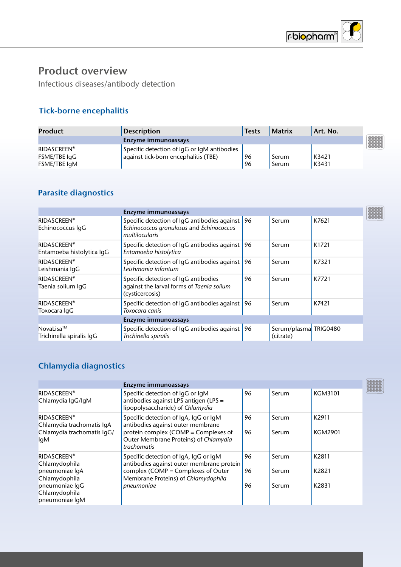

Infectious diseases/antibody detection

#### **Tick-borne encephalitis**

| Product                                            | <b>Description</b>                                                                  | <b>Tests</b> | <b>Matrix</b>  | Art. No.       |
|----------------------------------------------------|-------------------------------------------------------------------------------------|--------------|----------------|----------------|
|                                                    | Enzyme immunoassays                                                                 |              |                |                |
| <b>RIDASCREEN®</b><br>FSME/TBE IgG<br>FSME/TBE IgM | Specific detection of IgG or IgM antibodies<br>against tick-born encephalitis (TBE) | 96<br>96     | Serum<br>Serum | K3421<br>K3431 |

### **Parasite diagnostics**

| Enzyme immunoassays                                                                                        |    |                                                                             |       |
|------------------------------------------------------------------------------------------------------------|----|-----------------------------------------------------------------------------|-------|
| Specific detection of IqG antibodies against<br>Echinococcus granulosus and Echinococcus<br>multilocularis |    | Serum                                                                       | K7621 |
| Specific detection of IgG antibodies against<br>Entamoeba histolytica                                      |    | Serum                                                                       | K1721 |
| Specific detection of IqG antibodies against<br>Leishmania infantum                                        |    | Serum                                                                       | K7321 |
| Specific detection of IgG antibodies<br>against the larval forms of Taenia solium<br>(cysticercosis)       | 96 | Serum                                                                       | K7721 |
| Specific detection of IqG antibodies against<br>Toxocara canis                                             |    | Serum                                                                       | K7421 |
| Enzyme immunoassays                                                                                        |    |                                                                             |       |
| Trichinella spiralis                                                                                       |    | Serum/plasma TRIG0480<br>(citrate)                                          |       |
|                                                                                                            |    | 96 <br>96<br>196<br>96<br>Specific detection of IqG antibodies against   96 |       |

#### **Chlamydia diagnostics**

|                                                                                             | Enzyme immunoassays                                                                                                                                                        |          |                |                         |
|---------------------------------------------------------------------------------------------|----------------------------------------------------------------------------------------------------------------------------------------------------------------------------|----------|----------------|-------------------------|
| <b>RIDASCREEN®</b><br>Chlamydia IgG/IgM                                                     | Specific detection of IgG or IgM<br>antibodies against LPS antigen (LPS =<br>lipopolysaccharide) of Chlamydia                                                              | 96       | Serum          | <b>KGM3101</b>          |
| <b>RIDASCREEN®</b><br>Chlamydia trachomatis IqA<br>Chlamydia trachomatis IgG/<br><b>lgM</b> | Specific detection of IgA, IgG or IgM<br>antibodies against outer membrane<br>protein complex (COMP = Complexes of<br>Outer Membrane Proteins) of Chlamydia<br>trachomatis | 96<br>96 | Serum<br>Serum | K2911<br><b>KGM2901</b> |
| <b>RIDASCREEN®</b><br>Chlamydophila<br>pneumoniae IgA<br>Chlamydophila                      | Specific detection of IgA, IgG or IgM<br>antibodies against outer membrane protein<br>complex (COMP = Complexes of Outer<br>Membrane Proteins) of Chlamydophila            | 96<br>96 | Serum<br>Serum | K2811<br>K2821          |
| pneumoniae IqG<br>Chlamydophila<br>pneumoniae IqM                                           | pneumoniae                                                                                                                                                                 | 96       | Serum          | K2831                   |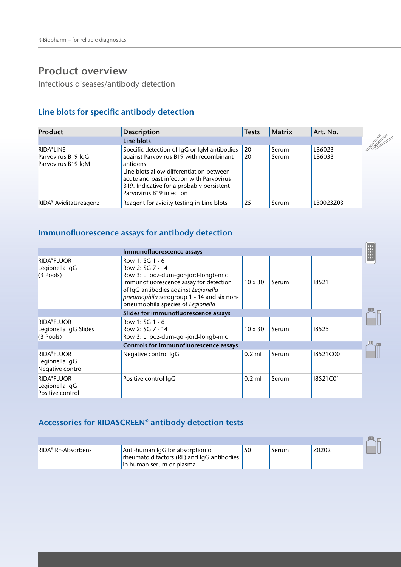Infectious diseases/antibody detection

### **Line blots for specific antibody detection**

| <b>Product</b>                                               | <b>Description</b>                                                                                                                                                                                                                                                   | <b>Tests</b>           | Matrix         | Art. No.         |                     |
|--------------------------------------------------------------|----------------------------------------------------------------------------------------------------------------------------------------------------------------------------------------------------------------------------------------------------------------------|------------------------|----------------|------------------|---------------------|
|                                                              | Line blots                                                                                                                                                                                                                                                           |                        |                |                  | <b>All Property</b> |
| <b>RIDA®LINE</b><br>Parvovirus B19 lgG<br>Parvovirus B19 lgM | Specific detection of IgG or IgM antibodies<br>against Parvovirus B19 with recombinant<br>antigens.<br>Line blots allow differentiation between<br>acute and past infection with Parvovirus<br>B19. Indicative for a probably persistent<br>Parvovirus B19 infection | <b>20</b><br><b>20</b> | Serum<br>Serum | LB6023<br>LB6033 |                     |
| RIDA <sup>®</sup> Aviditätsreagenz                           | Reagent for avidity testing in Line blots                                                                                                                                                                                                                            | <b>25</b>              | Serum          | LB0023Z03        |                     |

#### **Immunofluorescence assays for antibody detection**

|                                                           | Immunofluorescence assays                                                                                                                                                                                                                       |                |       |          |  |
|-----------------------------------------------------------|-------------------------------------------------------------------------------------------------------------------------------------------------------------------------------------------------------------------------------------------------|----------------|-------|----------|--|
| <b>RIDA®FLUOR</b><br>Legionella IgG<br>$(3$ Pools)        | Row 1: SG 1 - 6<br>Row 2: SG 7 - 14<br>Row 3: L. boz-dum-gor-jord-longb-mic<br>Immunofluorescence assay for detection<br>of IqG antibodies against Legionella<br>pneumophila serogroup 1 - 14 and six non-<br>pneumophila species of Legionella | $10 \times 30$ | Serum | 18521    |  |
|                                                           | Slides for immunofluorescence assays                                                                                                                                                                                                            |                |       |          |  |
| <b>RIDA®FLUOR</b><br>Legionella IgG Slides<br>$(3$ Pools) | Row 1: SG 1 - 6<br>Row 2: SG 7 - 14<br>Row 3: L. boz-dum-gor-jord-longb-mic                                                                                                                                                                     | $10 \times 30$ | Serum | 18525    |  |
|                                                           | Controls for immunofluorescence assays                                                                                                                                                                                                          |                |       |          |  |
| <b>RIDA®FLUOR</b><br>Legionella IgG<br>Negative control   | Negative control IgG                                                                                                                                                                                                                            | $0.2$ ml       | Serum | 18521C00 |  |
| <b>RIDA®FLUOR</b><br>Legionella IgG<br>Positive control   | Positive control IqG                                                                                                                                                                                                                            | $0.2$ ml       | Serum | 18521C01 |  |

#### **Accessories for RIDASCREEN® antibody detection tests**

|                                |                                                                                                              |       |       | <b>UUU</b> |
|--------------------------------|--------------------------------------------------------------------------------------------------------------|-------|-------|------------|
| RIDA <sup>®</sup> RF-Absorbens | Anti-human IgG for absorption of<br>rheumatoid factors (RF) and IgG antibodies<br>l in human serum or plasma | Serum | Z0202 |            |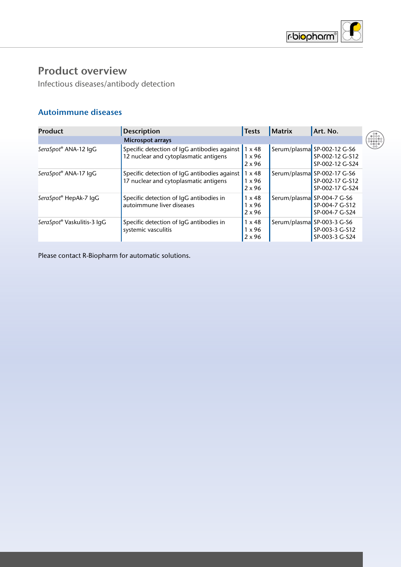

Infectious diseases/antibody detection

#### **Autoimmune diseases**

| <b>Product</b>             | Description                                                                           | <b>Tests</b>                                    | <b>Matrix</b> | Art. No.                                                          |
|----------------------------|---------------------------------------------------------------------------------------|-------------------------------------------------|---------------|-------------------------------------------------------------------|
|                            | <b>Microspot arrays</b>                                                               |                                                 |               |                                                                   |
| SeraSpot® ANA-12 IgG       | Specific detection of IgG antibodies against<br>12 nuclear and cytoplasmatic antigens | $1 \times 48$<br>$1 \times 96$<br>$2 \times 96$ |               | Serum/plasma SP-002-12 G-S6<br>SP-002-12 G-S12<br>SP-002-12 G-S24 |
| SeraSpot® ANA-17 IgG       | Specific detection of IqG antibodies against<br>17 nuclear and cytoplasmatic antigens | $1 \times 48$<br>$1 \times 96$<br>$2 \times 96$ |               | Serum/plasma SP-002-17 G-S6<br>SP-002-17 G-S12<br>SP-002-17 G-S24 |
| SeraSpot® HepAk-7 IgG      | Specific detection of IgG antibodies in<br>autoimmune liver diseases                  | $1 \times 48$<br>$1 \times 96$<br>$2 \times 96$ |               | Serum/plasma SP-004-7 G-S6<br>SP-004-7 G-S12<br>SP-004-7 G-S24    |
| SeraSpot® Vaskulitis-3 IqG | Specific detection of IgG antibodies in<br>systemic vasculitis                        | $1 \times 48$<br>$1 \times 96$<br>$2 \times 96$ |               | Serum/plasma SP-003-3 G-S6<br>SP-003-3 G-S12<br>SP-003-3 G-S24    |

Please contact R-Biopharm for automatic solutions.